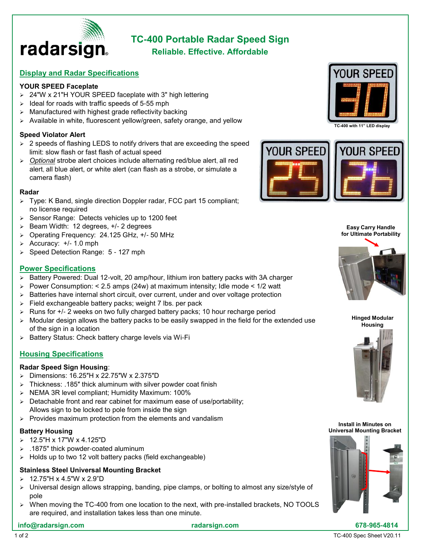

# **TC-400 Portable Radar Speed Sign**

**Reliable. Effective. Affordable**

## **Display and Radar Specifications**

#### **YOUR SPEED Faceplate**

- ➢ 24"W x 21"H YOUR SPEED faceplate with 3" high lettering
- $\geq$  Ideal for roads with traffic speeds of 5-55 mph
- $\triangleright$  Manufactured with highest grade reflectivity backing
- ➢ Available in white, fluorescent yellow/green, safety orange, and yellow

#### **Speed Violator Alert**

- ➢ 2 speeds of flashing LEDS to notify drivers that are exceeding the speed limit: slow flash or fast flash of actual speed
- ➢ *Optional* strobe alert choices include alternating red/blue alert, all red alert, all blue alert, or white alert (can flash as a strobe, or simulate a camera flash)

#### **Radar**

- ➢ Type: K Band, single direction Doppler radar, FCC part 15 compliant; no license required
- ➢ Sensor Range: Detects vehicles up to 1200 feet
- ➢ Beam Width: 12 degrees, +/- 2 degrees
- ➢ Operating Frequency: 24.125 GHz, +/- 50 MHz
- ➢ Accuracy: +/- 1.0 mph
- ➢ Speed Detection Range: 5 127 mph

## **Power Specifications**

- ➢ Battery Powered: Dual 12-volt, 20 amp/hour, lithium iron battery packs with 3A charger
- $\geq$  Power Consumption: < 2.5 amps (24w) at maximum intensity; Idle mode < 1/2 watt
- ➢ Batteries have internal short circuit, over current, under and over voltage protection
- ➢ Field exchangeable battery packs; weight 7 lbs. per pack
- ➢ Runs for +/- 2 weeks on two fully charged battery packs; 10 hour recharge period
- ➢ Modular design allows the battery packs to be easily swapped in the field for the extended use of the sign in a location
- ➢ Battery Status: Check battery charge levels via Wi-Fi

## **Housing Specifications**

#### **Radar Speed Sign Housing**:

- ➢ Dimensions: 16.25″H x 22.75″W x 2.375″D
- ➢ Thickness: .185″ thick aluminum with silver powder coat finish
- ➢ NEMA 3R level compliant; Humidity Maximum: 100%
- ➢ Detachable front and rear cabinet for maximum ease of use/portability; Allows sign to be locked to pole from inside the sign
- $\triangleright$  Provides maximum protection from the elements and vandalism

## **Battery Housing**

- ➢ 12.5"H x 17"W x 4.125"D
- ➢ .1875" thick powder-coated aluminum
- ➢ Holds up to two 12 volt battery packs (field exchangeable)

# **Stainless Steel Universal Mounting Bracket**

- $> 12.75$ "H x 4.5"W x 2.9"D
- ➢ Universal design allows strapping, banding, pipe clamps, or bolting to almost any size/style of pole
- $\triangleright$  When moving the TC-400 from one location to the next, with pre-installed brackets, NO TOOLS are required, and installation takes less than one minute.



**TC-400 with 11" LED display**



**Easy Carry Handle for Ultimate Portability**



**Hinged Modular Housing**



**Install in Minutes on Universal Mounting Bracket**